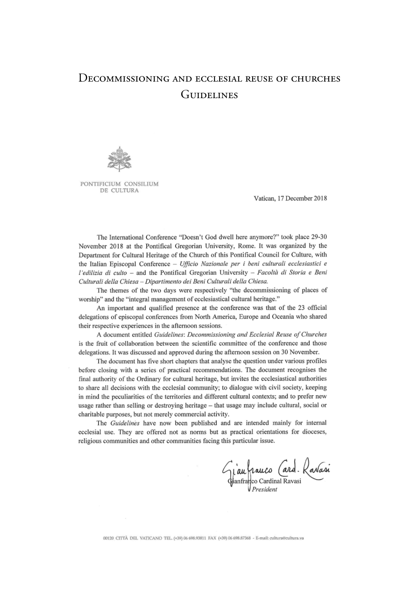# Decommissioning and ecclesial reuse of churches **GUIDELINES**



PONTIFICIUM CONSILIUM DE CHITHRA

Vatican, 17 December 2018

The International Conference "Doesn't God dwell here anymore?" took place 29-30 November 2018 at the Pontifical Gregorian University, Rome. It was organized by the Department for Cultural Heritage of the Church of this Pontifical Council for Culture, with the Italian Episcopal Conference - Ufficio Nazionale per i beni culturali ecclesiastici e l'edilizia di culto - and the Pontifical Gregorian University - Facoltà di Storia e Beni Culturali della Chiesa - Dipartimento dei Beni Culturali della Chiesa.

The themes of the two days were respectively "the decommissioning of places of worship" and the "integral management of ecclesiastical cultural heritage."

An important and qualified presence at the conference was that of the 23 official delegations of episcopal conferences from North America, Europe and Oceania who shared their respective experiences in the afternoon sessions.

A document entitled Guidelines: Decommissioning and Ecclesial Reuse of Churches is the fruit of collaboration between the scientific committee of the conference and those delegations. It was discussed and approved during the afternoon session on 30 November.

The document has five short chapters that analyse the question under various profiles before closing with a series of practical recommendations. The document recognises the final authority of the Ordinary for cultural heritage, but invites the ecclesiastical authorities to share all decisions with the ecclesial community; to dialogue with civil society, keeping in mind the peculiarities of the territories and different cultural contexts; and to prefer new usage rather than selling or destroying heritage - that usage may include cultural, social or charitable purposes, but not merely commercial activity.

The Guidelines have now been published and are intended mainly for internal ecclesial use. They are offered not as norms but as practical orientations for dioceses, religious communities and other communities facing this particular issue.

Giaufranco Card. Ravasi

00120 CITTÀ DEL VATICANO TEL. (+39) 06 698.93811 FAX (+39) 06 698.87368 - E-mail: cultura@cultura.va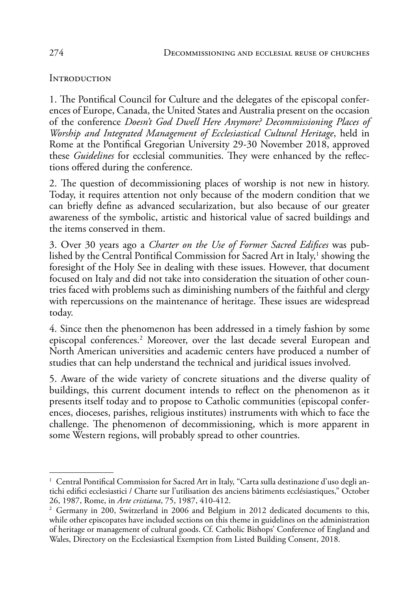### **INTRODUCTION**

1. The Pontifical Council for Culture and the delegates of the episcopal conferences of Europe, Canada, the United States and Australia present on the occasion of the conference *Doesn't God Dwell Here Anymore? Decommissioning Places of Worship and Integrated Management of Ecclesiastical Cultural Heritage*, held in Rome at the Pontifical Gregorian University 29-30 November 2018, approved these *Guidelines* for ecclesial communities. They were enhanced by the reflections offered during the conference.

2. The question of decommissioning places of worship is not new in history. Today, it requires attention not only because of the modern condition that we can briefly define as advanced secularization, but also because of our greater awareness of the symbolic, artistic and historical value of sacred buildings and the items conserved in them.

3. Over 30 years ago a *Charter on the Use of Former Sacred Edifices* was published by the Central Pontifical Commission for Sacred Art in Italy, $^1$  showing the foresight of the Holy See in dealing with these issues. However, that document focused on Italy and did not take into consideration the situation of other countries faced with problems such as diminishing numbers of the faithful and clergy with repercussions on the maintenance of heritage. These issues are widespread today.

4. Since then the phenomenon has been addressed in a timely fashion by some episcopal conferences.<sup>2</sup> Moreover, over the last decade several European and North American universities and academic centers have produced a number of studies that can help understand the technical and juridical issues involved.

5. Aware of the wide variety of concrete situations and the diverse quality of buildings, this current document intends to reflect on the phenomenon as it presents itself today and to propose to Catholic communities (episcopal conferences, dioceses, parishes, religious institutes) instruments with which to face the challenge. The phenomenon of decommissioning, which is more apparent in some Western regions, will probably spread to other countries.

<sup>&</sup>lt;sup>1</sup> Central Pontifical Commission for Sacred Art in Italy, "Carta sulla destinazione d'uso degli antichi edifici ecclesiastici / Charte sur l'utilisation des anciens bâtiments ecclésiastiques," October 26, 1987, Rome, in *Arte cristiana*, 75, 1987, 410-412.

<sup>&</sup>lt;sup>2</sup> Germany in 200, Switzerland in 2006 and Belgium in 2012 dedicated documents to this, while other episcopates have included sections on this theme in guidelines on the administration of heritage or management of cultural goods. Cf. Catholic Bishops' Conference of England and Wales, Directory on the Ecclesiastical Exemption from Listed Building Consent, 2018.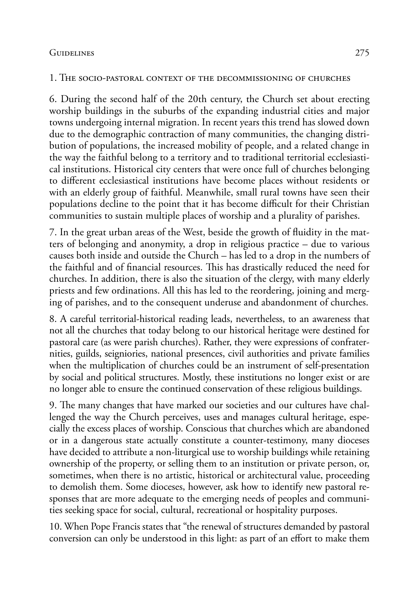## 1. The socio-pastoral context of the decommissioning of churches

6. During the second half of the 20th century, the Church set about erecting worship buildings in the suburbs of the expanding industrial cities and major towns undergoing internal migration. In recent years this trend has slowed down due to the demographic contraction of many communities, the changing distribution of populations, the increased mobility of people, and a related change in the way the faithful belong to a territory and to traditional territorial ecclesiastical institutions. Historical city centers that were once full of churches belonging to different ecclesiastical institutions have become places without residents or with an elderly group of faithful. Meanwhile, small rural towns have seen their populations decline to the point that it has become difficult for their Christian communities to sustain multiple places of worship and a plurality of parishes.

7. In the great urban areas of the West, beside the growth of fluidity in the matters of belonging and anonymity, a drop in religious practice – due to various causes both inside and outside the Church – has led to a drop in the numbers of the faithful and of financial resources. This has drastically reduced the need for churches. In addition, there is also the situation of the clergy, with many elderly priests and few ordinations. All this has led to the reordering, joining and merging of parishes, and to the consequent underuse and abandonment of churches.

8. A careful territorial-historical reading leads, nevertheless, to an awareness that not all the churches that today belong to our historical heritage were destined for pastoral care (as were parish churches). Rather, they were expressions of confraternities, guilds, seigniories, national presences, civil authorities and private families when the multiplication of churches could be an instrument of self-presentation by social and political structures. Mostly, these institutions no longer exist or are no longer able to ensure the continued conservation of these religious buildings.

9. The many changes that have marked our societies and our cultures have challenged the way the Church perceives, uses and manages cultural heritage, especially the excess places of worship. Conscious that churches which are abandoned or in a dangerous state actually constitute a counter-testimony, many dioceses have decided to attribute a non-liturgical use to worship buildings while retaining ownership of the property, or selling them to an institution or private person, or, sometimes, when there is no artistic, historical or architectural value, proceeding to demolish them. Some dioceses, however, ask how to identify new pastoral responses that are more adequate to the emerging needs of peoples and communities seeking space for social, cultural, recreational or hospitality purposes.

10. When Pope Francis states that "the renewal of structures demanded by pastoral conversion can only be understood in this light: as part of an effort to make them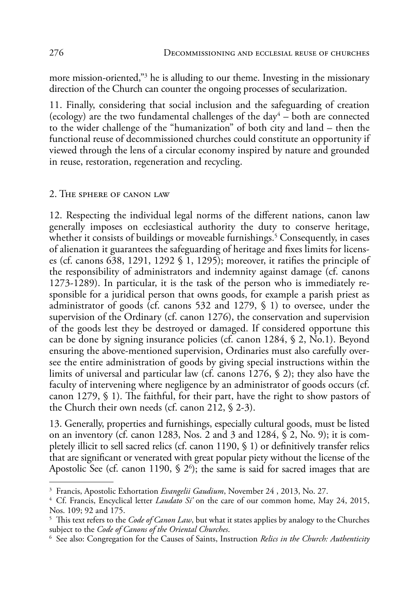more mission-oriented,"3 he is alluding to our theme. Investing in the missionary direction of the Church can counter the ongoing processes of secularization.

11. Finally, considering that social inclusion and the safeguarding of creation (ecology) are the two fundamental challenges of the day $4$  – both are connected to the wider challenge of the "humanization" of both city and land – then the functional reuse of decommissioned churches could constitute an opportunity if viewed through the lens of a circular economy inspired by nature and grounded in reuse, restoration, regeneration and recycling.

### 2. The sphere of canon law

12. Respecting the individual legal norms of the different nations, canon law generally imposes on ecclesiastical authority the duty to conserve heritage, whether it consists of buildings or moveable furnishings.5 Consequently, in cases of alienation it guarantees the safeguarding of heritage and fixes limits for licenses (cf. canons 638, 1291, 1292 § 1, 1295); moreover, it ratifies the principle of the responsibility of administrators and indemnity against damage (cf. canons 1273-1289). In particular, it is the task of the person who is immediately responsible for a juridical person that owns goods, for example a parish priest as administrator of goods (cf. canons 532 and 1279, § 1) to oversee, under the supervision of the Ordinary (cf. canon 1276), the conservation and supervision of the goods lest they be destroyed or damaged. If considered opportune this can be done by signing insurance policies (cf. canon 1284, § 2, No.1). Beyond ensuring the above-mentioned supervision, Ordinaries must also carefully oversee the entire administration of goods by giving special instructions within the limits of universal and particular law (cf. canons 1276, § 2); they also have the faculty of intervening where negligence by an administrator of goods occurs (cf. canon 1279, § 1). The faithful, for their part, have the right to show pastors of the Church their own needs (cf. canon 212, § 2-3).

13. Generally, properties and furnishings, especially cultural goods, must be listed on an inventory (cf. canon 1283, Nos. 2 and 3 and 1284, § 2, No. 9); it is completely illicit to sell sacred relics (cf. canon 1190, § 1) or definitively transfer relics that are significant or venerated with great popular piety without the license of the Apostolic See (cf. canon 1190,  $\frac{1}{2}$   $\frac{2}{9}$ ); the same is said for sacred images that are

<sup>3</sup> Francis, Apostolic Exhortation *Evangelii Gaudium*, November 24 , 2013, No. 27.

<sup>4</sup> Cf. Francis, Encyclical letter *Laudato Si'* on the care of our common home, May 24, 2015, Nos. 109; 92 and 175.

<sup>5</sup> This text refers to the *Code of Canon Law*, but what it states applies by analogy to the Churches subject to the *Code of Canons of the Oriental Churches*.

<sup>6</sup> See also: Congregation for the Causes of Saints, Instruction *Relics in the Church: Authenticity*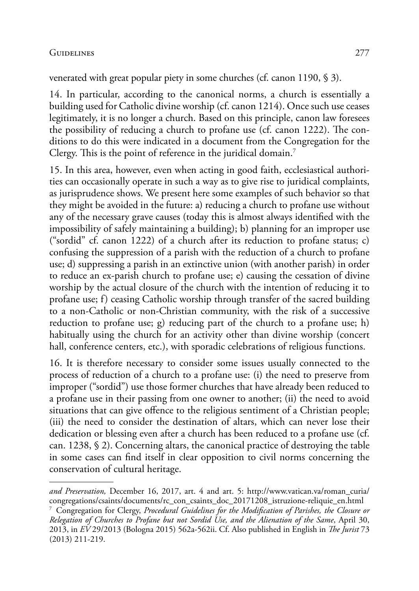venerated with great popular piety in some churches (cf. canon 1190, § 3).

14. In particular, according to the canonical norms, a church is essentially a building used for Catholic divine worship (cf. canon 1214). Once such use ceases legitimately, it is no longer a church. Based on this principle, canon law foresees the possibility of reducing a church to profane use (cf. canon 1222). The conditions to do this were indicated in a document from the Congregation for the Clergy. This is the point of reference in the juridical domain.<sup>7</sup>

15. In this area, however, even when acting in good faith, ecclesiastical authorities can occasionally operate in such a way as to give rise to juridical complaints, as jurisprudence shows. We present here some examples of such behavior so that they might be avoided in the future: a) reducing a church to profane use without any of the necessary grave causes (today this is almost always identified with the impossibility of safely maintaining a building); b) planning for an improper use ("sordid" cf. canon 1222) of a church after its reduction to profane status; c) confusing the suppression of a parish with the reduction of a church to profane use; d) suppressing a parish in an extinctive union (with another parish) in order to reduce an ex-parish church to profane use; e) causing the cessation of divine worship by the actual closure of the church with the intention of reducing it to profane use; f) ceasing Catholic worship through transfer of the sacred building to a non-Catholic or non-Christian community, with the risk of a successive reduction to profane use; g) reducing part of the church to a profane use; h) habitually using the church for an activity other than divine worship (concert hall, conference centers, etc.), with sporadic celebrations of religious functions.

16. It is therefore necessary to consider some issues usually connected to the process of reduction of a church to a profane use: (i) the need to preserve from improper ("sordid") use those former churches that have already been reduced to a profane use in their passing from one owner to another; (ii) the need to avoid situations that can give offence to the religious sentiment of a Christian people; (iii) the need to consider the destination of altars, which can never lose their dedication or blessing even after a church has been reduced to a profane use (cf. can. 1238, § 2). Concerning altars, the canonical practice of destroying the table in some cases can find itself in clear opposition to civil norms concerning the conservation of cultural heritage.

*and Preservation,* December 16, 2017, art. 4 and art. 5: http://www.vatican.va/roman\_curia/ congregations/csaints/documents/rc\_con\_csaints\_doc\_20171208\_istruzione-reliquie\_en.html

<sup>7</sup> Congregation for Clergy, *Procedural Guidelines for the Modification of Parishes, the Closure or Relegation of Churches to Profane but not Sordid Use, and the Alienation of the Same*, April 30, 2013, in *EV* 29/2013 (Bologna 2015) 562a-562ii. Cf. Also published in English in *The Jurist* 73 (2013) 211-219.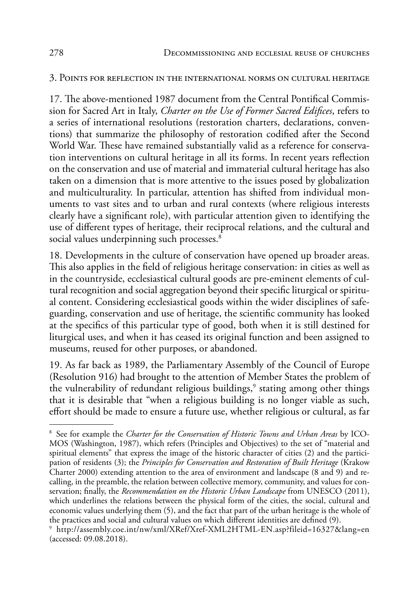#### 3. Points for reflection in the international norms on cultural heritage

17. The above-mentioned 1987 document from the Central Pontifical Commission for Sacred Art in Italy, *Charter on the Use of Former Sacred Edifices*, refers to a series of international resolutions (restoration charters, declarations, conventions) that summarize the philosophy of restoration codified after the Second World War. These have remained substantially valid as a reference for conservation interventions on cultural heritage in all its forms. In recent years reflection on the conservation and use of material and immaterial cultural heritage has also taken on a dimension that is more attentive to the issues posed by globalization and multiculturality. In particular, attention has shifted from individual monuments to vast sites and to urban and rural contexts (where religious interests clearly have a significant role), with particular attention given to identifying the use of different types of heritage, their reciprocal relations, and the cultural and social values underpinning such processes.<sup>8</sup>

18. Developments in the culture of conservation have opened up broader areas. This also applies in the field of religious heritage conservation: in cities as well as in the countryside, ecclesiastical cultural goods are pre-eminent elements of cultural recognition and social aggregation beyond their specific liturgical or spiritual content. Considering ecclesiastical goods within the wider disciplines of safeguarding, conservation and use of heritage, the scientific community has looked at the specifics of this particular type of good, both when it is still destined for liturgical uses, and when it has ceased its original function and been assigned to museums, reused for other purposes, or abandoned.

19. As far back as 1989, the Parliamentary Assembly of the Council of Europe (Resolution 916) had brought to the attention of Member States the problem of the vulnerability of redundant religious buildings,<sup>9</sup> stating among other things that it is desirable that "when a religious building is no longer viable as such, effort should be made to ensure a future use, whether religious or cultural, as far

<sup>8</sup> See for example the *Charter for the Conservation of Historic Towns and Urban Areas* by ICO-MOS (Washington, 1987), which refers (Principles and Objectives) to the set of "material and spiritual elements" that express the image of the historic character of cities (2) and the participation of residents (3); the *Principles for Conservation and Restoration of Built Heritage* (Krakow Charter 2000) extending attention to the area of environment and landscape (8 and 9) and recalling, in the preamble, the relation between collective memory, community, and values for conservation; finally, the *Recommendation on the Historic Urban Landscape* from UNESCO (2011), which underlines the relations between the physical form of the cities, the social, cultural and economic values underlying them (5), and the fact that part of the urban heritage is the whole of the practices and social and cultural values on which different identities are defined (9).

<sup>9</sup> http://assembly.coe.int/nw/xml/XRef/Xref-XML2HTML-EN.asp?fileid=16327&lang=en (accessed: 09.08.2018).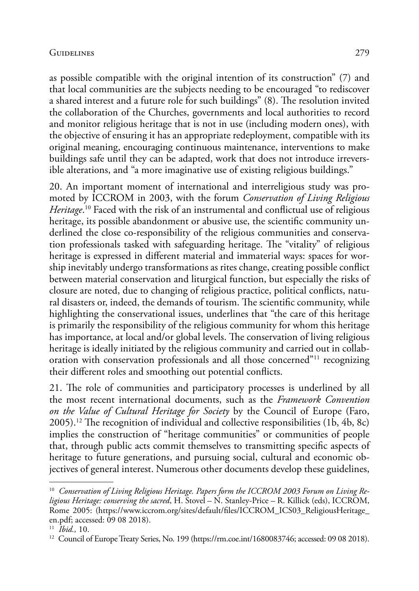as possible compatible with the original intention of its construction" (7) and that local communities are the subjects needing to be encouraged "to rediscover a shared interest and a future role for such buildings" (8). The resolution invited the collaboration of the Churches, governments and local authorities to record and monitor religious heritage that is not in use (including modern ones), with the objective of ensuring it has an appropriate redeployment, compatible with its original meaning, encouraging continuous maintenance, interventions to make buildings safe until they can be adapted, work that does not introduce irreversible alterations, and "a more imaginative use of existing religious buildings."

20. An important moment of international and interreligious study was promoted by ICCROM in 2003, with the forum *Conservation of Living Religious Heritage*. 10 Faced with the risk of an instrumental and conflictual use of religious heritage, its possible abandonment or abusive use, the scientific community underlined the close co-responsibility of the religious communities and conservation professionals tasked with safeguarding heritage. The "vitality" of religious heritage is expressed in different material and immaterial ways: spaces for worship inevitably undergo transformations as rites change, creating possible conflict between material conservation and liturgical function, but especially the risks of closure are noted, due to changing of religious practice, political conflicts, natural disasters or, indeed, the demands of tourism. The scientific community, while highlighting the conservational issues, underlines that "the care of this heritage is primarily the responsibility of the religious community for whom this heritage has importance, at local and/or global levels. The conservation of living religious heritage is ideally initiated by the religious community and carried out in collaboration with conservation professionals and all those concerned"11 recognizing their different roles and smoothing out potential conflicts.

21. The role of communities and participatory processes is underlined by all the most recent international documents, such as the *Framework Convention on the Value of Cultural Heritage for Society* by the Council of Europe (Faro, 2005).12 The recognition of individual and collective responsibilities (1b, 4b, 8c) implies the construction of "heritage communities" or communities of people that, through public acts commit themselves to transmitting specific aspects of heritage to future generations, and pursuing social, cultural and economic objectives of general interest. Numerous other documents develop these guidelines,

<sup>&</sup>lt;sup>10</sup> Conservation of Living Religious Heritage. Papers form the ICCROM 2003 Forum on Living Re*ligious Heritage: conserving the sacred*, H. Stovel – N. Stanley-Price – R. Killick (eds), ICCROM, Rome 2005: (https://www.iccrom.org/sites/default/files/ICCROM\_ICS03\_ReligiousHeritage\_ en.pdf; accessed: 09 08 2018).

<sup>11</sup> *Ibid.,* 10.

<sup>&</sup>lt;sup>12</sup> Council of Europe Treaty Series, No. 199 (https://rm.coe.int/1680083746; accessed: 09 08 2018).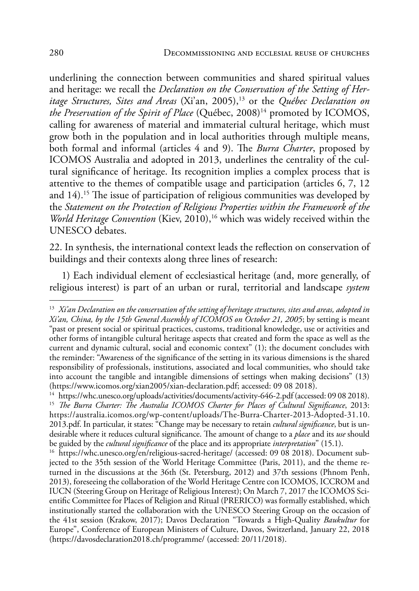underlining the connection between communities and shared spiritual values and heritage: we recall the *Declaration on the Conservation of the Setting of Heritage Structures, Sites and Areas* (Xi'an, 2005),<sup>13</sup> or the *Québec Declaration on the Preservation of the Spirit of Place* (Québec, 2008)<sup>14</sup> promoted by ICOMOS, calling for awareness of material and immaterial cultural heritage, which must grow both in the population and in local authorities through multiple means, both formal and informal (articles 4 and 9). The *Burra Charter*, proposed by ICOMOS Australia and adopted in 2013, underlines the centrality of the cultural significance of heritage. Its recognition implies a complex process that is attentive to the themes of compatible usage and participation (articles 6, 7, 12 and 14).15 The issue of participation of religious communities was developed by the *Statement on the Protection of Religious Properties within the Framework of the World Heritage Convention* (Kiev, 2010),<sup>16</sup> which was widely received within the UNESCO debates.

22. In synthesis, the international context leads the reflection on conservation of buildings and their contexts along three lines of research:

1) Each individual element of ecclesiastical heritage (and, more generally, of religious interest) is part of an urban or rural, territorial and landscape *system*

<sup>13</sup> *Xi'an Declaration on the conservation of the setting of heritage structures, sites and areas, adopted in Xi'an, China, by the 15th General Assembly of ICOMOS on October 21, 2005*; by setting is meant "past or present social or spiritual practices, customs, traditional knowledge, use or activities and other forms of intangible cultural heritage aspects that created and form the space as well as the current and dynamic cultural, social and economic context" (1); the document concludes with the reminder: "Awareness of the significance of the setting in its various dimensions is the shared responsibility of professionals, institutions, associated and local communities, who should take into account the tangible and intangible dimensions of settings when making decisions" (13) (https://www.icomos.org/xian2005/xian-declaration.pdf; accessed: 09 08 2018).

<sup>&</sup>lt;sup>14</sup> https://whc.unesco.org/uploads/activities/documents/activity-646-2.pdf (accessed: 09 08 2018). <sup>15</sup> *The Burra Charter: The Australia ICOMOS Charter for Places of Cultural Significance*, 2013: https://australia.icomos.org/wp-content/uploads/The-Burra-Charter-2013-Adopted-31.10. 2013.pdf. In particular, it states: "Change may be necessary to retain *cultural significance*, but is undesirable where it reduces cultural significance. The amount of change to a *place* and its *use* should be guided by the *cultural significance* of the place and its appropriate *interpretation*" (15.1).

<sup>&</sup>lt;sup>16</sup> https://whc.unesco.org/en/religious-sacred-heritage/ (accessed: 09 08 2018). Document subjected to the 35th session of the World Heritage Committee (Paris, 2011), and the theme returned in the discussions at the 36th (St. Petersburg, 2012) and 37th sessions (Phnom Penh, 2013), foreseeing the collaboration of the World Heritage Centre con ICOMOS, ICCROM and IUCN (Steering Group on Heritage of Religious Interest); On March 7, 2017 the ICOMOS Scientific Committee for Places of Religion and Ritual (PRERICO) was formally established, which institutionally started the collaboration with the UNESCO Steering Group on the occasion of the 41st session (Krakow, 2017); Davos Declaration "Towards a High-Quality *Baukultur* for Europe", Conference of European Ministers of Culture, Davos, Switzerland, January 22, 2018 (https://davosdeclaration2018.ch/programme/ (accessed: 20/11/2018).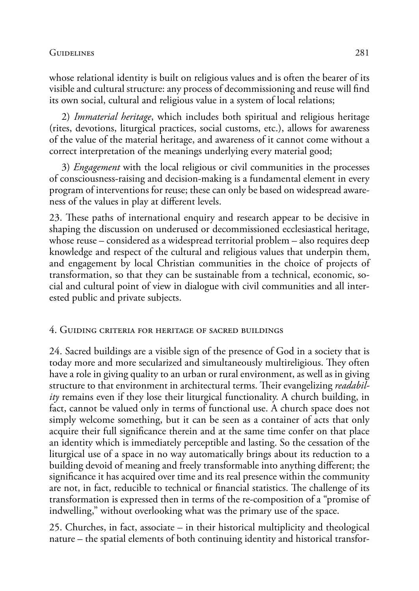whose relational identity is built on religious values and is often the bearer of its visible and cultural structure: any process of decommissioning and reuse will find its own social, cultural and religious value in a system of local relations;

2) *Immaterial heritage*, which includes both spiritual and religious heritage (rites, devotions, liturgical practices, social customs, etc.), allows for awareness of the value of the material heritage, and awareness of it cannot come without a correct interpretation of the meanings underlying every material good;

3) *Engagement* with the local religious or civil communities in the processes of consciousness-raising and decision-making is a fundamental element in every program of interventions for reuse; these can only be based on widespread awareness of the values in play at different levels.

23. These paths of international enquiry and research appear to be decisive in shaping the discussion on underused or decommissioned ecclesiastical heritage, whose reuse – considered as a widespread territorial problem – also requires deep knowledge and respect of the cultural and religious values that underpin them, and engagement by local Christian communities in the choice of projects of transformation, so that they can be sustainable from a technical, economic, social and cultural point of view in dialogue with civil communities and all interested public and private subjects.

### 4. Guiding criteria for heritage of sacred buildings

24. Sacred buildings are a visible sign of the presence of God in a society that is today more and more secularized and simultaneously multireligious. They often have a role in giving quality to an urban or rural environment, as well as in giving structure to that environment in architectural terms. Their evangelizing *readability* remains even if they lose their liturgical functionality. A church building, in fact, cannot be valued only in terms of functional use. A church space does not simply welcome something, but it can be seen as a container of acts that only acquire their full significance therein and at the same time confer on that place an identity which is immediately perceptible and lasting. So the cessation of the liturgical use of a space in no way automatically brings about its reduction to a building devoid of meaning and freely transformable into anything different; the significance it has acquired over time and its real presence within the community are not, in fact, reducible to technical or financial statistics. The challenge of its transformation is expressed then in terms of the re-composition of a "promise of indwelling," without overlooking what was the primary use of the space.

25. Churches, in fact, associate – in their historical multiplicity and theological nature – the spatial elements of both continuing identity and historical transfor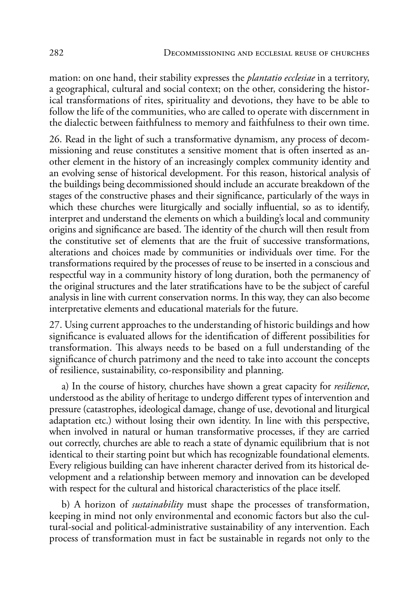mation: on one hand, their stability expresses the *plantatio ecclesiae* in a territory, a geographical, cultural and social context; on the other, considering the historical transformations of rites, spirituality and devotions, they have to be able to follow the life of the communities, who are called to operate with discernment in the dialectic between faithfulness to memory and faithfulness to their own time.

26. Read in the light of such a transformative dynamism, any process of decommissioning and reuse constitutes a sensitive moment that is often inserted as another element in the history of an increasingly complex community identity and an evolving sense of historical development. For this reason, historical analysis of the buildings being decommissioned should include an accurate breakdown of the stages of the constructive phases and their significance, particularly of the ways in which these churches were liturgically and socially influential, so as to identify, interpret and understand the elements on which a building's local and community origins and significance are based. The identity of the church will then result from the constitutive set of elements that are the fruit of successive transformations, alterations and choices made by communities or individuals over time. For the transformations required by the processes of reuse to be inserted in a conscious and respectful way in a community history of long duration, both the permanency of the original structures and the later stratifications have to be the subject of careful analysis in line with current conservation norms. In this way, they can also become interpretative elements and educational materials for the future.

27. Using current approaches to the understanding of historic buildings and how significance is evaluated allows for the identification of different possibilities for transformation. This always needs to be based on a full understanding of the significance of church patrimony and the need to take into account the concepts of resilience, sustainability, co-responsibility and planning.

a) In the course of history, churches have shown a great capacity for *resilience*, understood as the ability of heritage to undergo different types of intervention and pressure (catastrophes, ideological damage, change of use, devotional and liturgical adaptation etc.) without losing their own identity. In line with this perspective, when involved in natural or human transformative processes, if they are carried out correctly, churches are able to reach a state of dynamic equilibrium that is not identical to their starting point but which has recognizable foundational elements. Every religious building can have inherent character derived from its historical development and a relationship between memory and innovation can be developed with respect for the cultural and historical characteristics of the place itself.

b) A horizon of *sustainability* must shape the processes of transformation, keeping in mind not only environmental and economic factors but also the cultural-social and political-administrative sustainability of any intervention. Each process of transformation must in fact be sustainable in regards not only to the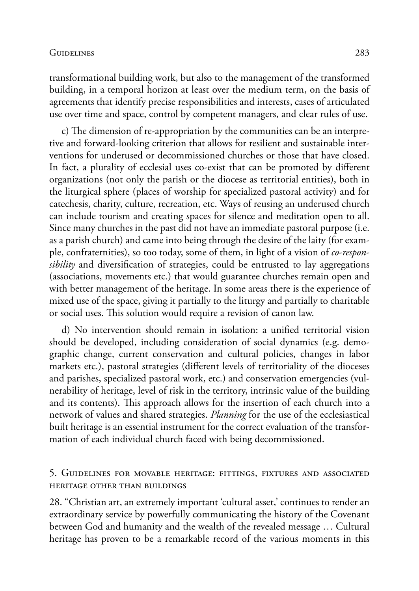transformational building work, but also to the management of the transformed building, in a temporal horizon at least over the medium term, on the basis of agreements that identify precise responsibilities and interests, cases of articulated use over time and space, control by competent managers, and clear rules of use.

c) The dimension of re-appropriation by the communities can be an interpretive and forward-looking criterion that allows for resilient and sustainable interventions for underused or decommissioned churches or those that have closed. In fact, a plurality of ecclesial uses co-exist that can be promoted by different organizations (not only the parish or the diocese as territorial entities), both in the liturgical sphere (places of worship for specialized pastoral activity) and for catechesis, charity, culture, recreation, etc. Ways of reusing an underused church can include tourism and creating spaces for silence and meditation open to all. Since many churches in the past did not have an immediate pastoral purpose (i.e. as a parish church) and came into being through the desire of the laity (for example, confraternities), so too today, some of them, in light of a vision of *co-responsibility* and diversification of strategies, could be entrusted to lay aggregations (associations, movements etc.) that would guarantee churches remain open and with better management of the heritage. In some areas there is the experience of mixed use of the space, giving it partially to the liturgy and partially to charitable or social uses. This solution would require a revision of canon law.

d) No intervention should remain in isolation: a unified territorial vision should be developed, including consideration of social dynamics (e.g. demographic change, current conservation and cultural policies, changes in labor markets etc.), pastoral strategies (different levels of territoriality of the dioceses and parishes, specialized pastoral work, etc.) and conservation emergencies (vulnerability of heritage, level of risk in the territory, intrinsic value of the building and its contents). This approach allows for the insertion of each church into a network of values and shared strategies. *Planning* for the use of the ecclesiastical built heritage is an essential instrument for the correct evaluation of the transformation of each individual church faced with being decommissioned.

### 5. Guidelines for movable heritage: fittings, fixtures and associated heritage other than buildings

28. "Christian art, an extremely important 'cultural asset,' continues to render an extraordinary service by powerfully communicating the history of the Covenant between God and humanity and the wealth of the revealed message … Cultural heritage has proven to be a remarkable record of the various moments in this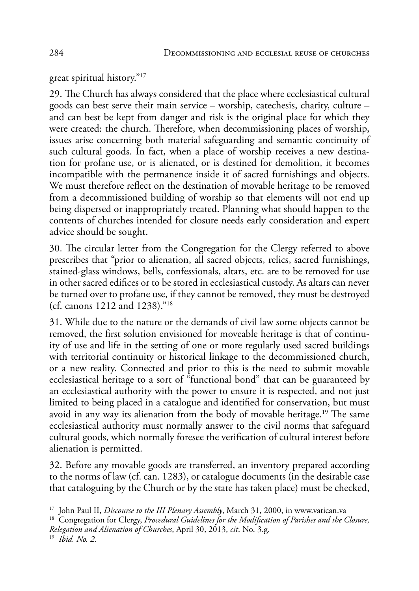great spiritual history."17

29. The Church has always considered that the place where ecclesiastical cultural goods can best serve their main service – worship, catechesis, charity, culture – and can best be kept from danger and risk is the original place for which they were created: the church. Therefore, when decommissioning places of worship, issues arise concerning both material safeguarding and semantic continuity of such cultural goods. In fact, when a place of worship receives a new destination for profane use, or is alienated, or is destined for demolition, it becomes incompatible with the permanence inside it of sacred furnishings and objects. We must therefore reflect on the destination of movable heritage to be removed from a decommissioned building of worship so that elements will not end up being dispersed or inappropriately treated. Planning what should happen to the contents of churches intended for closure needs early consideration and expert advice should be sought.

30. The circular letter from the Congregation for the Clergy referred to above prescribes that "prior to alienation, all sacred objects, relics, sacred furnishings, stained-glass windows, bells, confessionals, altars, etc. are to be removed for use in other sacred edifices or to be stored in ecclesiastical custody. As altars can never be turned over to profane use, if they cannot be removed, they must be destroyed (cf. canons 1212 and 1238)."18

31. While due to the nature or the demands of civil law some objects cannot be removed, the first solution envisioned for moveable heritage is that of continuity of use and life in the setting of one or more regularly used sacred buildings with territorial continuity or historical linkage to the decommissioned church, or a new reality. Connected and prior to this is the need to submit movable ecclesiastical heritage to a sort of "functional bond" that can be guaranteed by an ecclesiastical authority with the power to ensure it is respected, and not just limited to being placed in a catalogue and identified for conservation, but must avoid in any way its alienation from the body of movable heritage.<sup>19</sup> The same ecclesiastical authority must normally answer to the civil norms that safeguard cultural goods, which normally foresee the verification of cultural interest before alienation is permitted.

32. Before any movable goods are transferred, an inventory prepared according to the norms of law (cf. can. 1283), or catalogue documents (in the desirable case that cataloguing by the Church or by the state has taken place) must be checked,

<sup>&</sup>lt;sup>17</sup> John Paul II, *Discourse to the III Plenary Assembly*, March 31, 2000, in www.vatican.va<br><sup>18</sup> Congregation for Clergy, *Procedural Guidelines for the Modification of Parishes and the Closure, Relegation and Alienation of Churches*, April 30, 2013, *cit*. No. 3.g. <sup>19</sup> *Ibid. No. 2.*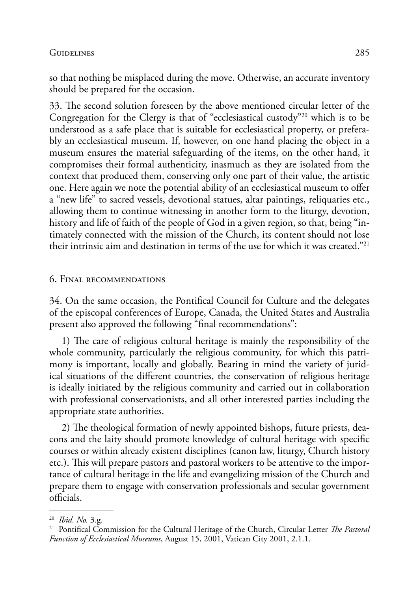so that nothing be misplaced during the move. Otherwise, an accurate inventory should be prepared for the occasion.

33. The second solution foreseen by the above mentioned circular letter of the Congregation for the Clergy is that of "ecclesiastical custody"20 which is to be understood as a safe place that is suitable for ecclesiastical property, or preferably an ecclesiastical museum. If, however, on one hand placing the object in a museum ensures the material safeguarding of the items, on the other hand, it compromises their formal authenticity, inasmuch as they are isolated from the context that produced them, conserving only one part of their value, the artistic one. Here again we note the potential ability of an ecclesiastical museum to offer a "new life" to sacred vessels, devotional statues, altar paintings, reliquaries etc., allowing them to continue witnessing in another form to the liturgy, devotion, history and life of faith of the people of God in a given region, so that, being "intimately connected with the mission of the Church, its content should not lose their intrinsic aim and destination in terms of the use for which it was created."<sup>21</sup>

### 6. Final recommendations

34. On the same occasion, the Pontifical Council for Culture and the delegates of the episcopal conferences of Europe, Canada, the United States and Australia present also approved the following "final recommendations":

1) The care of religious cultural heritage is mainly the responsibility of the whole community, particularly the religious community, for which this patrimony is important, locally and globally. Bearing in mind the variety of juridical situations of the different countries, the conservation of religious heritage is ideally initiated by the religious community and carried out in collaboration with professional conservationists, and all other interested parties including the appropriate state authorities.

2) The theological formation of newly appointed bishops, future priests, deacons and the laity should promote knowledge of cultural heritage with specific courses or within already existent disciplines (canon law, liturgy, Church history etc.). This will prepare pastors and pastoral workers to be attentive to the importance of cultural heritage in the life and evangelizing mission of the Church and prepare them to engage with conservation professionals and secular government officials.

<sup>20</sup> *Ibid. No.* 3.g.

<sup>21</sup> Pontifical Commission for the Cultural Heritage of the Church, Circular Letter *The Pastoral Function of Ecclesiastical Museums*, August 15, 2001, Vatican City 2001, 2.1.1.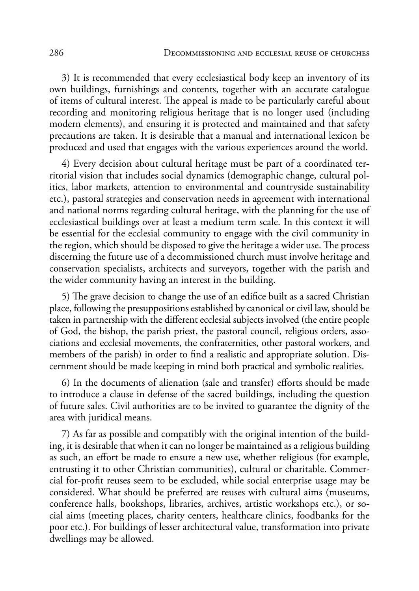3) It is recommended that every ecclesiastical body keep an inventory of its own buildings, furnishings and contents, together with an accurate catalogue of items of cultural interest. The appeal is made to be particularly careful about recording and monitoring religious heritage that is no longer used (including modern elements), and ensuring it is protected and maintained and that safety precautions are taken. It is desirable that a manual and international lexicon be produced and used that engages with the various experiences around the world.

4) Every decision about cultural heritage must be part of a coordinated territorial vision that includes social dynamics (demographic change, cultural politics, labor markets, attention to environmental and countryside sustainability etc.), pastoral strategies and conservation needs in agreement with international and national norms regarding cultural heritage, with the planning for the use of ecclesiastical buildings over at least a medium term scale. In this context it will be essential for the ecclesial community to engage with the civil community in the region, which should be disposed to give the heritage a wider use. The process discerning the future use of a decommissioned church must involve heritage and conservation specialists, architects and surveyors, together with the parish and the wider community having an interest in the building.

5) The grave decision to change the use of an edifice built as a sacred Christian place, following the presuppositions established by canonical or civil law, should be taken in partnership with the different ecclesial subjects involved (the entire people of God, the bishop, the parish priest, the pastoral council, religious orders, associations and ecclesial movements, the confraternities, other pastoral workers, and members of the parish) in order to find a realistic and appropriate solution. Discernment should be made keeping in mind both practical and symbolic realities.

6) In the documents of alienation (sale and transfer) efforts should be made to introduce a clause in defense of the sacred buildings, including the question of future sales. Civil authorities are to be invited to guarantee the dignity of the area with juridical means.

7) As far as possible and compatibly with the original intention of the building, it is desirable that when it can no longer be maintained as a religious building as such, an effort be made to ensure a new use, whether religious (for example, entrusting it to other Christian communities), cultural or charitable. Commercial for-profit reuses seem to be excluded, while social enterprise usage may be considered. What should be preferred are reuses with cultural aims (museums, conference halls, bookshops, libraries, archives, artistic workshops etc.), or social aims (meeting places, charity centers, healthcare clinics, foodbanks for the poor etc.). For buildings of lesser architectural value, transformation into private dwellings may be allowed.